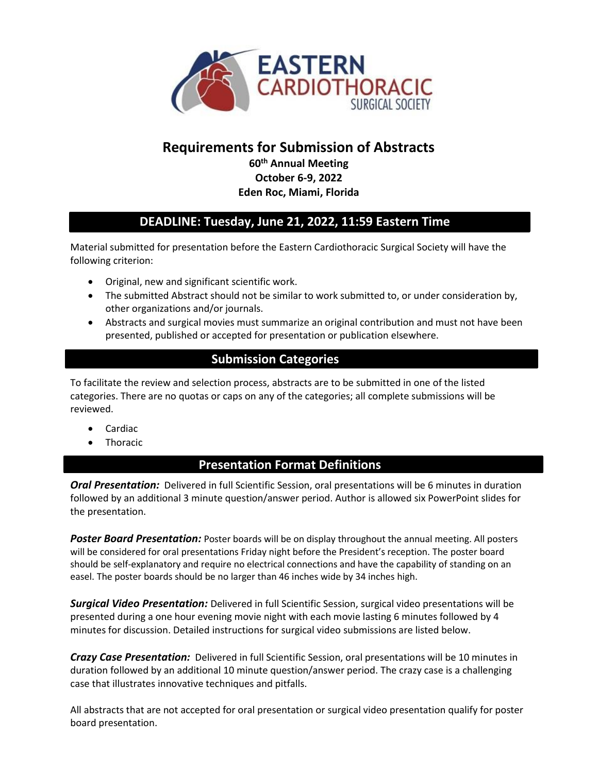

# **Requirements for Submission of Abstracts**

**60th Annual Meeting October 6-9, 2022 Eden Roc, Miami, Florida**

# **DEADLINE: Tuesday, June 21, 2022, 11:59 Eastern Time**

Material submitted for presentation before the Eastern Cardiothoracic Surgical Society will have the following criterion:

- Original, new and significant scientific work.
- The submitted Abstract should not be similar to work submitted to, or under consideration by, other organizations and/or journals.
- Abstracts and surgical movies must summarize an original contribution and must not have been presented, published or accepted for presentation or publication elsewhere.

# **Submission Categories**

To facilitate the review and selection process, abstracts are to be submitted in one of the listed categories. There are no quotas or caps on any of the categories; all complete submissions will be reviewed.

- Cardiac
- Thoracic

#### **Presentation Format Definitions**

**Oral Presentation:** Delivered in full Scientific Session, oral presentations will be 6 minutes in duration followed by an additional 3 minute question/answer period. Author is allowed six PowerPoint slides for the presentation.

*Poster Board Presentation:* Poster boards will be on display throughout the annual meeting. All posters will be considered for oral presentations Friday night before the President's reception. The poster board should be self-explanatory and require no electrical connections and have the capability of standing on an easel. The poster boards should be no larger than 46 inches wide by 34 inches high.

*Surgical Video Presentation:* Delivered in full Scientific Session, surgical video presentations will be presented during a one hour evening movie night with each movie lasting 6 minutes followed by 4 minutes for discussion. Detailed instructions for surgical video submissions are listed below.

*Crazy Case Presentation:* Delivered in full Scientific Session, oral presentations will be 10 minutes in duration followed by an additional 10 minute question/answer period. The crazy case is a challenging case that illustrates innovative techniques and pitfalls.

All abstracts that are not accepted for oral presentation or surgical video presentation qualify for poster board presentation.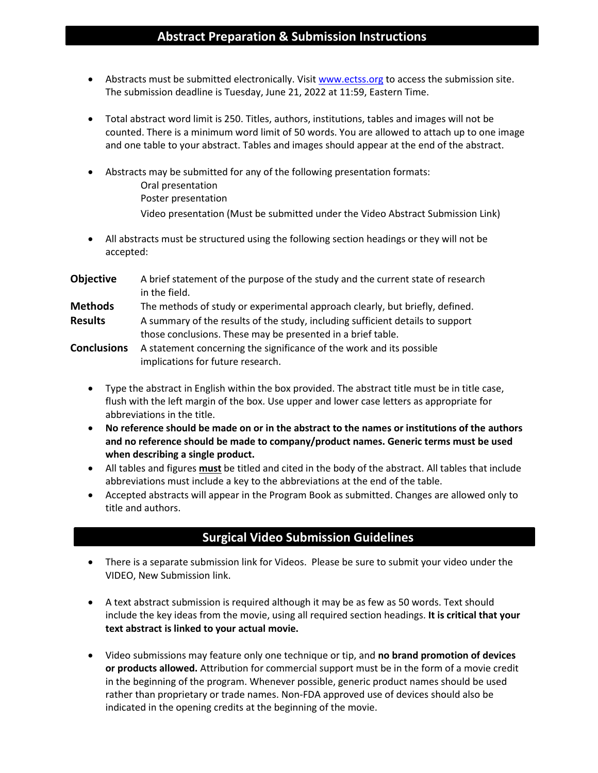#### **Abstract Preparation & Submission Instructions**

- Abstracts must be submitted electronically. Visit [www.ectss.org](http://www.ectss.org/) to access the submission site. The submission deadline is Tuesday, June 21, 2022 at 11:59, Eastern Time.
- Total abstract word limit is 250. Titles, authors, institutions, tables and images will not be counted. There is a minimum word limit of 50 words. You are allowed to attach up to one image and one table to your abstract. Tables and images should appear at the end of the abstract.
- Abstracts may be submitted for any of the following presentation formats: Oral presentation Poster presentation Video presentation (Must be submitted under the Video Abstract Submission Link)
- All abstracts must be structured using the following section headings or they will not be accepted:
- **Objective** A brief statement of the purpose of the study and the current state of research in the field.
- **Methods** The methods of study or experimental approach clearly, but briefly, defined. Results A summary of the results of the study, including sufficient details to support those conclusions. These may be presented in a brief table.
- **Conclusions** A statement concerning the significance of the work and its possible implications for future research.
	- Type the abstract in English within the box provided. The abstract title must be in title case, flush with the left margin of the box. Use upper and lower case letters as appropriate for abbreviations in the title.
	- **No reference should be made on or in the abstract to the names or institutions of the authors and no reference should be made to company/product names. Generic terms must be used when describing a single product.**
	- All tables and figures **must** be titled and cited in the body of the abstract. All tables that include abbreviations must include a key to the abbreviations at the end of the table.
	- Accepted abstracts will appear in the Program Book as submitted. Changes are allowed only to title and authors.

# **Surgical Video Submission Guidelines**

- There is a separate submission link for Videos. Please be sure to submit your video under the VIDEO, New Submission link.
- A text abstract submission is required although it may be as few as 50 words. Text should include the key ideas from the movie, using all required section headings. **It is critical that your text abstract is linked to your actual movie.**
- Video submissions may feature only one technique or tip, and **no brand promotion of devices or products allowed.** Attribution for commercial support must be in the form of a movie credit in the beginning of the program. Whenever possible, generic product names should be used rather than proprietary or trade names. Non-FDA approved use of devices should also be indicated in the opening credits at the beginning of the movie.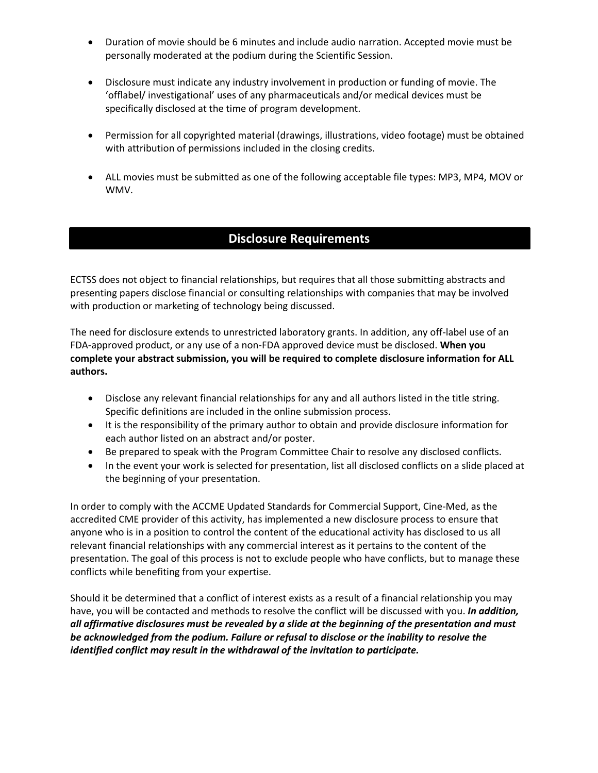- Duration of movie should be 6 minutes and include audio narration. Accepted movie must be personally moderated at the podium during the Scientific Session.
- Disclosure must indicate any industry involvement in production or funding of movie. The 'offlabel/ investigational' uses of any pharmaceuticals and/or medical devices must be specifically disclosed at the time of program development.
- Permission for all copyrighted material (drawings, illustrations, video footage) must be obtained with attribution of permissions included in the closing credits.
- ALL movies must be submitted as one of the following acceptable file types: MP3, MP4, MOV or WMV.

# **Disclosure Requirements**

ECTSS does not object to financial relationships, but requires that all those submitting abstracts and presenting papers disclose financial or consulting relationships with companies that may be involved with production or marketing of technology being discussed.

The need for disclosure extends to unrestricted laboratory grants. In addition, any off-label use of an FDA-approved product, or any use of a non-FDA approved device must be disclosed. **When you complete your abstract submission, you will be required to complete disclosure information for ALL authors.**

- Disclose any relevant financial relationships for any and all authors listed in the title string. Specific definitions are included in the online submission process.
- It is the responsibility of the primary author to obtain and provide disclosure information for each author listed on an abstract and/or poster.
- Be prepared to speak with the Program Committee Chair to resolve any disclosed conflicts.
- In the event your work is selected for presentation, list all disclosed conflicts on a slide placed at the beginning of your presentation.

In order to comply with the ACCME Updated Standards for Commercial Support, Cine-Med, as the accredited CME provider of this activity, has implemented a new disclosure process to ensure that anyone who is in a position to control the content of the educational activity has disclosed to us all relevant financial relationships with any commercial interest as it pertains to the content of the presentation. The goal of this process is not to exclude people who have conflicts, but to manage these conflicts while benefiting from your expertise.

Should it be determined that a conflict of interest exists as a result of a financial relationship you may have, you will be contacted and methods to resolve the conflict will be discussed with you. *In addition, all affirmative disclosures must be revealed by a slide at the beginning of the presentation and must be acknowledged from the podium. Failure or refusal to disclose or the inability to resolve the identified conflict may result in the withdrawal of the invitation to participate.*